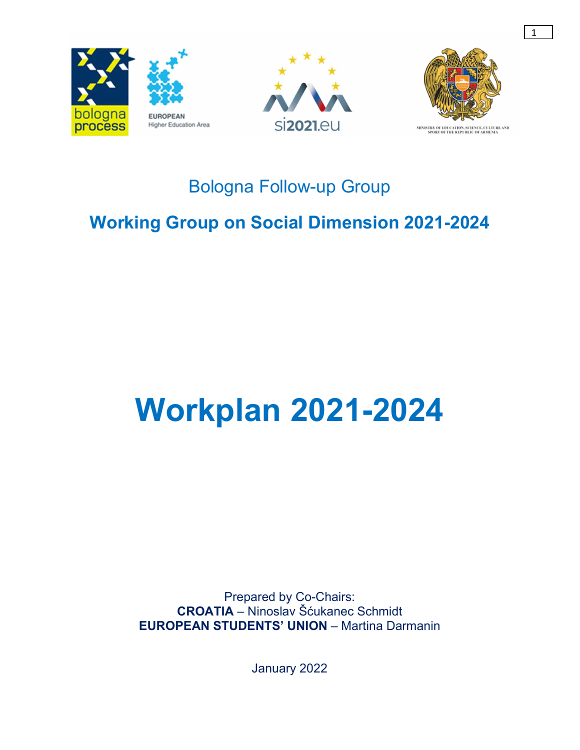





1

MINISTRY OF EDUCATION, SCIENCE, CULTURE AND<br>SPORT OF THE REPUBLIC OF ARMENIA

## Bologna Follow-up Group

## Working Group on Social Dimension 2021-2024

# Workplan 2021-2024

Prepared by Co-Chairs: CROATIA – Ninoslav Šćukanec Schmidt EUROPEAN STUDENTS' UNION – Martina Darmanin

January 2022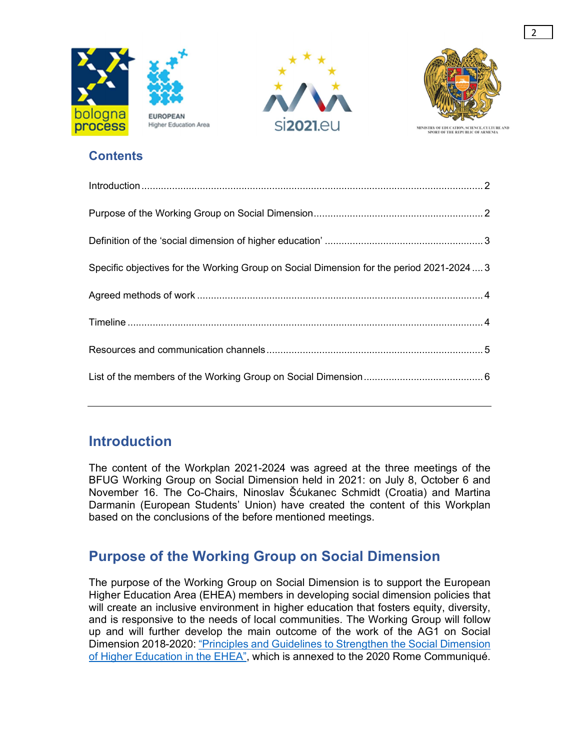





MINISTRY OF EDUCATION, SCIENCE, CULTURE AND<br>SPORT OF THE REPUBLIC OF ARMENIA

#### **Contents**

| Specific objectives for the Working Group on Social Dimension for the period 2021-20243 |  |
|-----------------------------------------------------------------------------------------|--|
|                                                                                         |  |
|                                                                                         |  |
|                                                                                         |  |
|                                                                                         |  |
|                                                                                         |  |

### Introduction

The content of the Workplan 2021-2024 was agreed at the three meetings of the BFUG Working Group on Social Dimension held in 2021: on July 8, October 6 and November 16. The Co-Chairs, Ninoslav Šćukanec Schmidt (Croatia) and Martina Darmanin (European Students' Union) have created the content of this Workplan based on the conclusions of the before mentioned meetings.

### Purpose of the Working Group on Social Dimension

The purpose of the Working Group on Social Dimension is to support the European Higher Education Area (EHEA) members in developing social dimension policies that will create an inclusive environment in higher education that fosters equity, diversity, and is responsive to the needs of local communities. The Working Group will follow up and will further develop the main outcome of the work of the AG1 on Social Dimension 2018-2020: "Principles and Guidelines to Strengthen the Social Dimension of Higher Education in the EHEA", which is annexed to the 2020 Rome Communiqué.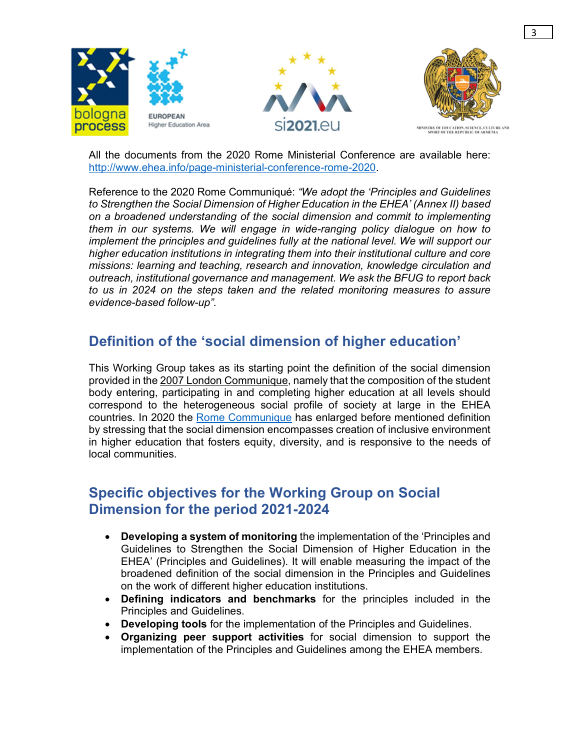

3

All the documents from the 2020 Rome Ministerial Conference are available here: http://www.ehea.info/page-ministerial-conference-rome-2020.<br>Reference to the 2020 Rome Communiqué: *"We adopt the 'Principles and Guidelines* 

to Strengthen the Social Dimension of Higher Education in the EHEA' (Annex II) based on a broadened understanding of the social dimension and commit to implementing them in our systems. We will engage in wide-ranging policy dialogue on how to implement the principles and guidelines fully at the national level. We will support our higher education institutions in integrating them into their institutional culture and core missions: learning and teaching, research and innovation, knowledge circulation and outreach, institutional governance and management. We ask the BFUG to report back to us in 2024 on the steps taken and the related monitoring measures to assure evidence-based follow-up".

#### Definition of the 'social dimension of higher education'

This Working Group takes as its starting point the definition of the social dimension provided in the 2007 London Communique, namely that the composition of the student body entering, participating in and completing higher education at all levels should correspond to the heterogeneous social profile of society at large in the EHEA countries. In 2020 the Rome Communique has enlarged before mentioned definition by stressing that the social dimension encompasses creation of inclusive environment in higher education that fosters equity, diversity, and is responsive to the needs of local communities.

#### Specific objectives for the Working Group on Social Dimension for the period 2021-2024

- Developing a system of monitoring the implementation of the 'Principles and Guidelines to Strengthen the Social Dimension of Higher Education in the EHEA' (Principles and Guidelines). It will enable measuring the impact of the broadened definition of the social dimension in the Principles and Guidelines on the work of different higher education institutions.
- Defining indicators and benchmarks for the principles included in the Principles and Guidelines.
- Developing tools for the implementation of the Principles and Guidelines.
- Organizing peer support activities for social dimension to support the implementation of the Principles and Guidelines among the EHEA members.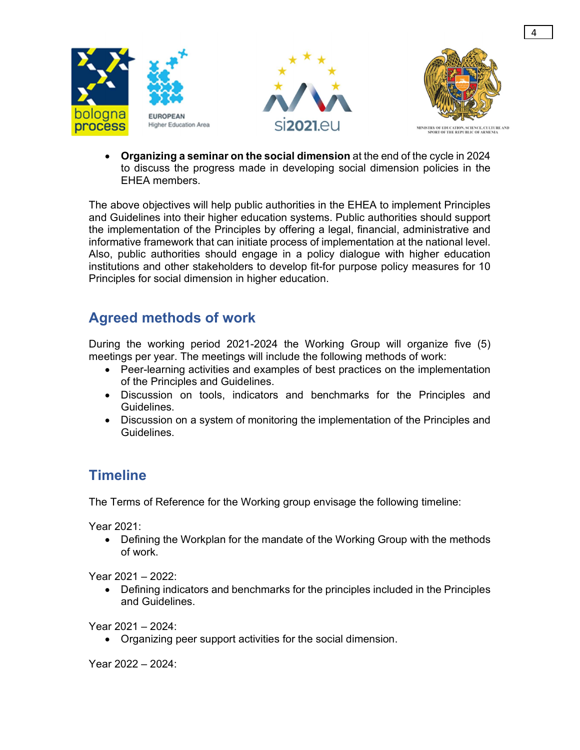

 Organizing a seminar on the social dimension at the end of the cycle in 2024 to discuss the progress made in developing social dimension policies in the EHEA members.

The above objectives will help public authorities in the EHEA to implement Principles and Guidelines into their higher education systems. Public authorities should support the implementation of the Principles by offering a legal, financial, administrative and informative framework that can initiate process of implementation at the national level. Also, public authorities should engage in a policy dialogue with higher education institutions and other stakeholders to develop fit-for purpose policy measures for 10 Principles for social dimension in higher education.

### Agreed methods of work

During the working period 2021-2024 the Working Group will organize five (5) meetings per year. The meetings will include the following methods of work:

- Peer-learning activities and examples of best practices on the implementation of the Principles and Guidelines.
- Discussion on tools, indicators and benchmarks for the Principles and Guidelines.
- Discussion on a system of monitoring the implementation of the Principles and Guidelines.

#### **Timeline**

The Terms of Reference for the Working group envisage the following timeline:

Year 2021:

• Defining the Workplan for the mandate of the Working Group with the methods of work.

Year 2021 – 2022:

 Defining indicators and benchmarks for the principles included in the Principles and Guidelines.

Year 2021 – 2024:

Organizing peer support activities for the social dimension.

Year 2022 – 2024: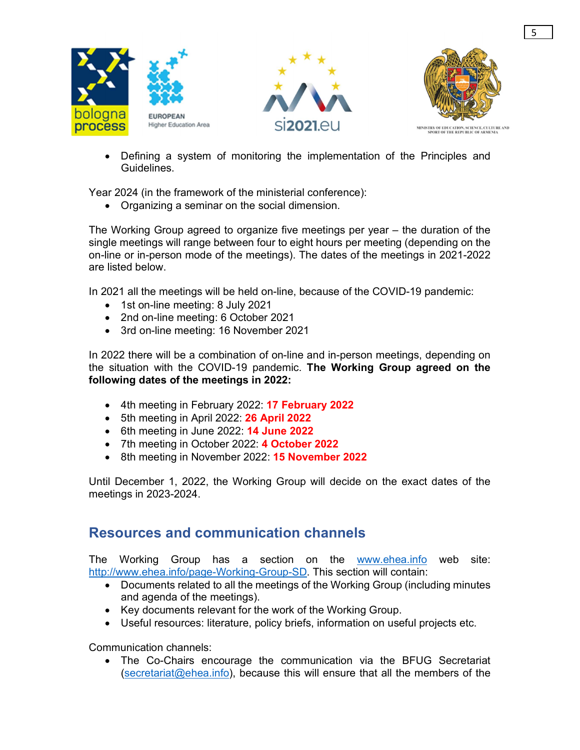





 Defining a system of monitoring the implementation of the Principles and Guidelines.

Year 2024 (in the framework of the ministerial conference):

Organizing a seminar on the social dimension.

The Working Group agreed to organize five meetings per year – the duration of the single meetings will range between four to eight hours per meeting (depending on the on-line or in-person mode of the meetings). The dates of the meetings in 2021-2022 are listed below.

In 2021 all the meetings will be held on-line, because of the COVID-19 pandemic:

- 1st on-line meeting: 8 July 2021
- 2nd on-line meeting: 6 October 2021
- 3rd on-line meeting: 16 November 2021

In 2022 there will be a combination of on-line and in-person meetings, depending on the situation with the COVID-19 pandemic. The Working Group agreed on the following dates of the meetings in 2022:

- 4th meeting in February 2022: 17 February 2022
- 5th meeting in April 2022: 26 April 2022
- $\bullet$  6th meeting in June 2022: 14 June 2022
- 7th meeting in October 2022: 4 October 2022
- 8th meeting in November 2022: 15 November 2022

Until December 1, 2022, the Working Group will decide on the exact dates of the meetings in 2023-2024.

#### Resources and communication channels

The Working Group has a section on the www.ehea.info web site: http://www.ehea.info/page-Working-Group-SD. This section will contain:

- Documents related to all the meetings of the Working Group (including minutes and agenda of the meetings).
- Key documents relevant for the work of the Working Group.
- Useful resources: literature, policy briefs, information on useful projects etc.

Communication channels:

 The Co-Chairs encourage the communication via the BFUG Secretariat (secretariat@ehea.info), because this will ensure that all the members of the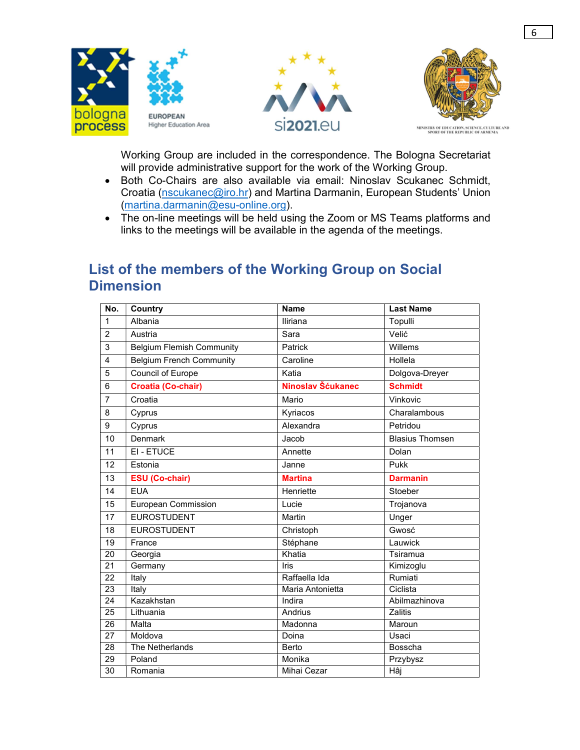

Working Group are included in the correspondence. The Bologna Secretariat will provide administrative support for the work of the Working Group.

6

- Both Co-Chairs are also available via email: Ninoslav Scukanec Schmidt, Croatia (nscukanec@iro.hr) and Martina Darmanin, European Students' Union (martina.darmanin@esu-online.org).
- The on-line meetings will be held using the Zoom or MS Teams platforms and links to the meetings will be available in the agenda of the meetings.

#### List of the members of the Working Group on Social **Dimension**

| No.             | <b>Country</b>                   | <b>Name</b>       | <b>Last Name</b>       |
|-----------------|----------------------------------|-------------------|------------------------|
| $\mathbf{1}$    | Albania                          | Iliriana          | Topulli                |
| $\overline{2}$  | Austria                          | Sara              | Velić                  |
| 3               | <b>Belgium Flemish Community</b> | Patrick           | Willems                |
| $\overline{4}$  | <b>Belgium French Community</b>  | Caroline          | Hollela                |
| 5               | Council of Europe                | Katia             | Dolgova-Dreyer         |
| 6               | <b>Croatia (Co-chair)</b>        | Ninoslav Šćukanec | <b>Schmidt</b>         |
| $\overline{7}$  | Croatia                          | Mario             | Vinkovic               |
| 8               | Cyprus                           | Kyriacos          | Charalambous           |
| 9               | Cyprus                           | Alexandra         | Petridou               |
| 10              | Denmark                          | Jacob             | <b>Blasius Thomsen</b> |
| 11              | EI - ETUCE                       | Annette           | Dolan                  |
| 12              | Estonia                          | Janne             | Pukk                   |
| 13              | <b>ESU (Co-chair)</b>            | <b>Martina</b>    | <b>Darmanin</b>        |
| 14              | <b>EUA</b>                       | Henriette         | Stoeber                |
| 15              | European Commission              | Lucie             | Trojanova              |
| 17              | <b>EUROSTUDENT</b>               | Martin            | Unger                  |
| 18              | <b>EUROSTUDENT</b>               | Christoph         | Gwosć                  |
| 19              | France                           | Stéphane          | Lauwick                |
| 20              | Georgia                          | Khatia            | Tsiramua               |
| $\overline{21}$ | Germany                          | Iris              | Kimizoglu              |
| $\overline{22}$ | Italy                            | Raffaella Ida     | Rumiati                |
| 23              | Italy                            | Maria Antonietta  | Ciclista               |
| 24              | Kazakhstan                       | Indira            | Abilmazhinova          |
| 25              | Lithuania                        | Andrius           | Zalitis                |
| 26              | Malta                            | Madonna           | Maroun                 |
| $\overline{27}$ | Moldova                          | Doina             | Usaci                  |
| 28              | The Netherlands                  | Berto             | Bosscha                |
| 29              | Poland                           | Monika            | Przybysz               |
| 30              | Romania                          | Mihai Cezar       | Hâj                    |